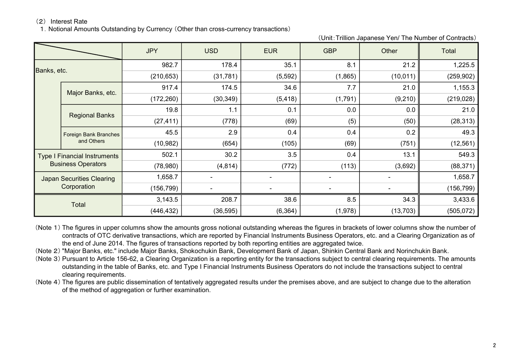1. Notional Amounts Outstanding by Currency (Other than cross-currency transactions)

(Unit:Trillion Japanese Yen/ The Number of Contracts)

|             |                                     | <b>JPY</b> | <b>USD</b> | <b>EUR</b> | <b>GBP</b> | Other     | Total      |
|-------------|-------------------------------------|------------|------------|------------|------------|-----------|------------|
| Banks, etc. |                                     | 982.7      | 178.4      | 35.1       | 8.1        | 21.2      | 1,225.5    |
|             |                                     | (210, 653) | (31, 781)  | (5, 592)   | (1,865)    | (10, 011) | (259, 902) |
|             |                                     | 917.4      | 174.5      | 34.6       | 7.7        | 21.0      | 1,155.3    |
|             | Major Banks, etc.                   | (172, 260) | (30, 349)  | (5, 418)   | (1,791)    | (9,210)   | (219, 028) |
|             | <b>Regional Banks</b>               | 19.8       | 1.1        | 0.1        | 0.0        | 0.0       | 21.0       |
|             |                                     | (27, 411)  | (778)      | (69)       | (5)        | (50)      | (28, 313)  |
|             | Foreign Bank Branches<br>and Others | 45.5       | 2.9        | 0.4        | 0.4        | 0.2       | 49.3       |
|             |                                     | (10, 982)  | (654)      | (105)      | (69)       | (751)     | (12, 561)  |
|             | <b>Type I Financial Instruments</b> | 502.1      | 30.2       | 3.5        | 0.4        | 13.1      | 549.3      |
|             | <b>Business Operators</b>           | (78,980)   | (4, 814)   | (772)      | (113)      | (3,692)   | (88, 371)  |
|             | <b>Japan Securities Clearing</b>    | 1,658.7    |            |            |            |           | 1,658.7    |
| Corporation |                                     | (156, 799) |            |            |            |           | (156, 799) |
| Total       |                                     | 3,143.5    | 208.7      | 38.6       | 8.5        | 34.3      | 3,433.6    |
|             |                                     | (446, 432) | (36, 595)  | (6, 364)   | (1,978)    | (13,703)  | (505, 072) |

(Note 1) The figures in upper columns show the amounts gross notional outstanding whereas the figures in brackets of lower columns show the number of contracts of OTC derivative transactions, which are reported by Financial Instruments Business Operators, etc. and a Clearing Organization as of the end of June 2014. The figures of transactions reported by both reporting entities are aggregated twice.

(Note 2) "Major Banks, etc." include Major Banks, Shokochukin Bank, Development Bank of Japan, Shinkin Central Bank and Norinchukin Bank.

(Note 3) Pursuant to Article 156-62, a Clearing Organization is a reporting entity for the transactions subject to central clearing requirements. The amounts outstanding in the table of Banks, etc. and Type I Financial Instruments Business Operators do not include the transactions subject to central clearing requirements.

(Note 4) The figures are public dissemination of tentatively aggregated results under the premises above, and are subject to change due to the alteration of the method of aggregation or further examination.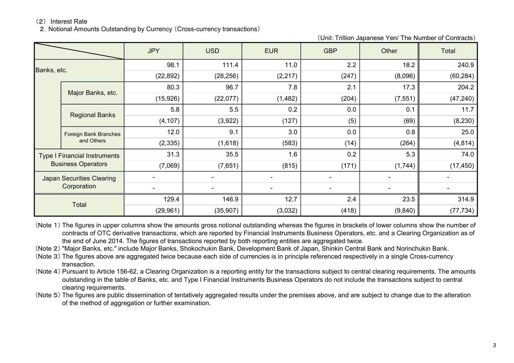2.Notional Amounts Outstanding by Currency (Cross-currency transactions)

(Unit:Trillion Japanese Yen/ The Number of Contracts)

|             |                                     | <b>JPY</b> | <b>USD</b> | <b>EUR</b> | <b>GBP</b> | Other    | Total     |
|-------------|-------------------------------------|------------|------------|------------|------------|----------|-----------|
| Banks, etc. |                                     | 98.1       | 111.4      | 11.0       | 2.2        | 18.2     | 240.9     |
|             |                                     | (22, 892)  | (28, 256)  | (2, 217)   | (247)      | (8,096)  | (60, 284) |
|             |                                     | 80.3       | 96.7       | 7.8        | 2.1        | 17.3     | 204.2     |
|             | Major Banks, etc.                   | (15, 926)  | (22,077)   | (1, 482)   | (204)      | (7, 551) | (47, 240) |
|             | <b>Regional Banks</b>               | 5.8        | 5.5        | 0.2        | 0.0        | 0.1      | $11.7$    |
|             |                                     | (4, 107)   | (3,922)    | (127)      | (5)        | (69)     | (8, 230)  |
|             | Foreign Bank Branches<br>and Others | 12.0       | 9.1        | 3.0        | 0.0        | 0.8      | 25.0      |
|             |                                     | (2, 335)   | (1,618)    | (583)      | (14)       | (264)    | (4, 814)  |
|             | <b>Type I Financial Instruments</b> | 31.3       | 35.5       | 1.6        | 0.2        | 5.3      | 74.0      |
|             | <b>Business Operators</b>           | (7,069)    | (7,651)    | (815)      | (171)      | (1,744)  | (17, 450) |
|             | <b>Japan Securities Clearing</b>    |            |            |            |            |          |           |
| Corporation |                                     |            |            |            |            |          |           |
| Total       |                                     | 129.4      | 146.9      | 12.7       | 2.4        | 23.5     | 314.9     |
|             |                                     | (29, 961)  | (35,907)   | (3,032)    | (418)      | (9,840)  | (77, 734) |

- (Note 1) The figures in upper columns show the amounts gross notional outstanding whereas the figures in brackets of lower columns show the number of contracts of OTC derivative transactions, which are reported by Financial Instruments Business Operators, etc. and a Clearing Organization as of the end of June 2014. The figures of transactions reported by both reporting entities are aggregated twice.
- (Note 2) "Major Banks, etc." include Major Banks, Shokochukin Bank, Development Bank of Japan, Shinkin Central Bank and Norinchukin Bank.
- (Note 3) The figures above are aggregated twice because each side of currencies is in principle referenced respectively in a single Cross-currency transaction.
- (Note 4) Pursuant to Article 156-62, a Clearing Organization is a reporting entity for the transactions subject to central clearing requirements. The amounts outstanding in the table of Banks, etc. and Type I Financial Instruments Business Operators do not include the transactions subject to central clearing requirements.
- (Note 5) The figures are public dissemination of tentatively aggregated results under the premises above, and are subject to change due to the alteration of the method of aggregation or further examination.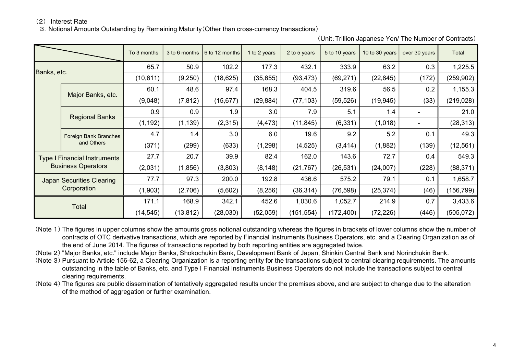3.Notional Amounts Outstanding by Remaining Maturity(Other than cross-currency transactions)

|             |                                     | To 3 months | 3 to 6 months | 6 to 12 months | 1 to 2 years                       | 2 to 5 years | 5 to 10 years | 10 to 30 years | over 30 years                                                                                                                                                                         | Total      |
|-------------|-------------------------------------|-------------|---------------|----------------|------------------------------------|--------------|---------------|----------------|---------------------------------------------------------------------------------------------------------------------------------------------------------------------------------------|------------|
| Banks, etc. |                                     | 65.7        | 50.9          | 102.2          | 177.3                              | 432.1        | 333.9         | 63.2           | 0.3                                                                                                                                                                                   | 1,225.5    |
|             |                                     | (10, 611)   | (9,250)       | (18, 625)      | (35, 655)                          | (93, 473)    | (69, 271)     | (22, 845)      | (172)<br>56.5<br>0.2<br>(33)<br>(19, 945)<br>1.4<br>(1,018)<br>5.2<br>0.1<br>(139)<br>(1,882)<br>72.7<br>0.4<br>(228)<br>(24,007)<br>79.1<br>0.1<br>(25, 374)<br>(46)<br>214.9<br>0.7 | (259, 902) |
|             |                                     | 60.1        | 48.6          | 97.4           | 168.3                              | 404.5        | 319.6         |                |                                                                                                                                                                                       | 1,155.3    |
|             | Major Banks, etc.                   | (9,048)     | (7, 812)      | (15, 677)      | (29, 884)                          | (77, 103)    | (59, 526)     |                |                                                                                                                                                                                       | (219, 028) |
|             | <b>Regional Banks</b>               | 0.9         | 0.9           | 1.9            | 3.0                                | 7.9          | 5.1           |                |                                                                                                                                                                                       | 21.0       |
|             |                                     | (1, 192)    | (1, 139)      | (2,315)        | (4, 473)                           | (11, 845)    | (6, 331)      |                |                                                                                                                                                                                       | (28, 313)  |
|             | Foreign Bank Branches<br>and Others | 4.7         | 1.4           | 3.0            | 6.0                                | 19.6         | 9.2           |                |                                                                                                                                                                                       | 49.3       |
|             |                                     | (371)       | (299)         | (633)          | (1,298)                            | (4, 525)     | (3, 414)      |                |                                                                                                                                                                                       | (12, 561)  |
|             | <b>Type I Financial Instruments</b> | 27.7        | 20.7          | 39.9           | 82.4                               | 162.0        | 143.6         |                |                                                                                                                                                                                       | 549.3      |
|             | <b>Business Operators</b>           | (2,031)     | (1,856)       | (3,803)        | (21, 767)<br>(26, 531)<br>(8, 148) |              | (88, 371)     |                |                                                                                                                                                                                       |            |
|             | <b>Japan Securities Clearing</b>    | 77.7        | 97.3          | 200.0          | 192.8                              | 436.6        | 575.2         |                |                                                                                                                                                                                       | 1,658.7    |
|             | Corporation                         | (1,903)     | (2,706)       | (5,602)        | (8,256)                            | (36, 314)    | (76, 598)     |                |                                                                                                                                                                                       | (156, 799) |
|             |                                     | 171.1       | 168.9         | 342.1          | 452.6                              | 1,030.6      | 1,052.7       |                |                                                                                                                                                                                       | 3,433.6    |
| Total       |                                     | (14, 545)   | (13, 812)     | (28,030)       | (52,059)                           | (151, 554)   | (172, 400)    | (72, 226)      | (446)                                                                                                                                                                                 | (505, 072) |

(Unit:Trillion Japanese Yen/ The Number of Contracts)

(Note 1) The figures in upper columns show the amounts gross notional outstanding whereas the figures in brackets of lower columns show the number of contracts of OTC derivative transactions, which are reported by Financial Instruments Business Operators, etc. and a Clearing Organization as of the end of June 2014. The figures of transactions reported by both reporting entities are aggregated twice.

(Note 2) "Major Banks, etc." include Major Banks, Shokochukin Bank, Development Bank of Japan, Shinkin Central Bank and Norinchukin Bank.

(Note 3) Pursuant to Article 156-62, a Clearing Organization is a reporting entity for the transactions subject to central clearing requirements. The amounts outstanding in the table of Banks, etc. and Type I Financial Instruments Business Operators do not include the transactions subject to central clearing requirements.

(Note 4) The figures are public dissemination of tentatively aggregated results under the premises above, and are subject to change due to the alteration of the method of aggregation or further examination.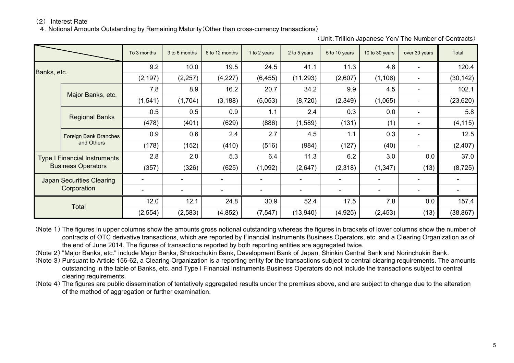4.Notional Amounts Outstanding by Remaining Maturity(Other than cross-currency transactions)

|             |                                     | To 3 months | 3 to 6 months | 6 to 12 months | 1 to 2 years | 2 to 5 years | 5 to 10 years       | 10 to 30 years           | over 30 years | Total     |
|-------------|-------------------------------------|-------------|---------------|----------------|--------------|--------------|---------------------|--------------------------|---------------|-----------|
|             |                                     | 9.2         | 10.0          | 19.5           | 24.5         | 41.1         | 11.3                | 4.8                      |               | 120.4     |
| Banks, etc. |                                     | (2, 197)    | (2, 257)      | (4,227)        | (6, 455)     | (11, 293)    | (1, 106)<br>(2,607) |                          | (30, 142)     |           |
|             |                                     | 7.8         | 8.9           | 16.2           | 20.7         | 34.2         | 9.9                 | 4.5                      |               | 102.1     |
|             | Major Banks, etc.                   | (1, 541)    | (1,704)       | (3, 188)       | (5,053)      | (8,720)      | (2,349)             | (1,065)                  |               | (23, 620) |
|             | <b>Regional Banks</b>               | 0.5         | 0.5           | 0.9            | 1.1          | 2.4          | 0.3                 | 0.0                      |               | 5.8       |
|             |                                     | (478)       | (401)         | (629)          | (886)        | (1,589)      | (131)               | (1)                      |               | (4, 115)  |
|             | Foreign Bank Branches<br>and Others | 0.9         | 0.6           | 2.4            | 2.7          | 4.5          | 1.1                 | 0.3                      |               | 12.5      |
|             |                                     | (178)       | (152)         | (410)          | (516)        | (984)        | (127)               | (40)                     |               | (2, 407)  |
|             | <b>Type I Financial Instruments</b> | 2.8         | 2.0           | 5.3            | 6.4          | 11.3         | 6.2                 | 3.0                      | 0.0           | 37.0      |
|             | <b>Business Operators</b>           | (357)       | (326)         | (625)          | (1,092)      | (2,647)      | (2,318)             | (1, 347)                 | (13)          | (8, 725)  |
|             | <b>Japan Securities Clearing</b>    |             |               |                |              |              |                     |                          |               |           |
|             | Corporation                         |             |               |                |              |              |                     | $\overline{\phantom{a}}$ |               |           |
|             |                                     | 12.0        | 12.1          | 24.8           | 30.9         | 52.4         | 17.5                | 7.8                      | 0.0           | 157.4     |
| Total       |                                     | (2, 554)    | (2, 583)      | (4, 852)       | (7, 547)     | (13, 940)    | (4,925)             | (2, 453)                 | (13)          | (38, 867) |

(Unit:Trillion Japanese Yen/ The Number of Contracts)

(Note 1) The figures in upper columns show the amounts gross notional outstanding whereas the figures in brackets of lower columns show the number of contracts of OTC derivative transactions, which are reported by Financial Instruments Business Operators, etc. and a Clearing Organization as of the end of June 2014. The figures of transactions reported by both reporting entities are aggregated twice.

(Note 2) "Major Banks, etc." include Major Banks, Shokochukin Bank, Development Bank of Japan, Shinkin Central Bank and Norinchukin Bank.

(Note 3) Pursuant to Article 156-62, a Clearing Organization is a reporting entity for the transactions subject to central clearing requirements. The amounts outstanding in the table of Banks, etc. and Type I Financial Instruments Business Operators do not include the transactions subject to central clearing requirements.

(Note 4) The figures are public dissemination of tentatively aggregated results under the premises above, and are subject to change due to the alteration of the method of aggregation or further examination.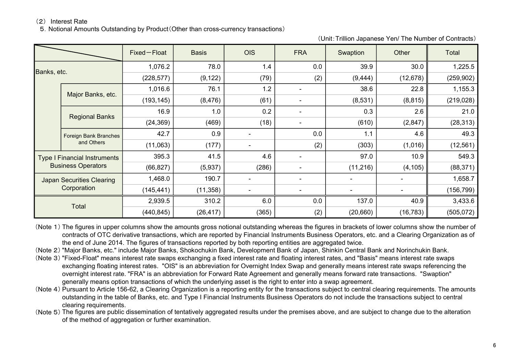5.Notional Amounts Outstanding by Product(Other than cross-currency transactions)

(Unit:Trillion Japanese Yen/ The Number of Contracts)

|             |                                     | Fixed-Float | <b>Basis</b> | <b>OIS</b>               | <b>FRA</b> | Swaption                 | Other                                                                         | Total      |
|-------------|-------------------------------------|-------------|--------------|--------------------------|------------|--------------------------|-------------------------------------------------------------------------------|------------|
| Banks, etc. |                                     | 1,076.2     | 78.0         | 1.4                      | 0.0        | 39.9                     | 30.0                                                                          | 1,225.5    |
|             |                                     | (228, 577)  | (9, 122)     | (79)                     | (2)        | (9, 444)                 | (12, 678)<br>38.6<br>(8,531)<br>0.3<br>(610)<br>1.1<br>(303)<br>97.0<br>137.0 | (259, 902) |
|             |                                     | 1,016.6     | 76.1         | 1.2                      |            |                          | 22.8                                                                          | 1,155.3    |
|             | Major Banks, etc.                   | (193, 145)  | (8, 476)     | (61)                     |            |                          | (8, 815)                                                                      | (219, 028) |
|             | <b>Regional Banks</b>               | 16.9        | 1.0          | 0.2                      |            |                          | 2.6                                                                           | 21.0       |
|             |                                     | (24, 369)   | (469)        | (18)                     |            |                          | (2,847)                                                                       | (28, 313)  |
|             | Foreign Bank Branches<br>and Others | 42.7        | 0.9          |                          | 0.0        |                          | 4.6                                                                           | 49.3       |
|             |                                     | (11,063)    | (177)        | $\overline{\phantom{a}}$ | (2)        |                          | (1,016)                                                                       | (12, 561)  |
|             | <b>Type I Financial Instruments</b> | 395.3       | 41.5         | 4.6                      |            |                          | 10.9                                                                          | 549.3      |
|             | <b>Business Operators</b>           | (66, 827)   | (5,937)      | (286)                    |            | (11, 216)                | (4, 105)                                                                      | (88, 371)  |
|             | <b>Japan Securities Clearing</b>    | 1,468.0     | 190.7        | $\overline{\phantom{a}}$ |            |                          |                                                                               | 1,658.7    |
|             | Corporation                         | (145, 441)  | (11, 358)    | $\overline{\phantom{a}}$ |            | $\overline{\phantom{0}}$ |                                                                               | (156, 799) |
|             |                                     | 2,939.5     | 310.2        | 6.0                      | 0.0        |                          | 40.9                                                                          | 3,433.6    |
|             | Total                               | (440, 845)  | (26, 417)    | (365)                    | (2)        | (20,660)                 | (16, 783)                                                                     | (505, 072) |

(Note 1) The figures in upper columns show the amounts gross notional outstanding whereas the figures in brackets of lower columns show the number of contracts of OTC derivative transactions, which are reported by Financial Instruments Business Operators, etc. and a Clearing Organization as of the end of June 2014. The figures of transactions reported by both reporting entities are aggregated twice.

(Note 2) "Major Banks, etc." include Major Banks, Shokochukin Bank, Development Bank of Japan, Shinkin Central Bank and Norinchukin Bank.

(Note 3) "Fixed-Float" means interest rate swaps exchanging a fixed interest rate and floating interest rates, and "Basis" means interest rate swaps exchanging floating interest rates. "OIS" is an abbreviation for Overnight Index Swap and generally means interest rate swaps referencing the overnight interest rate. "FRA" is an abbreviation for Forward Rate Agreement and generally means forward rate transactions. "Swaption" generally means option transactions of which the underlying asset is the right to enter into a swap agreement.

(Note 4) Pursuant to Article 156-62, a Clearing Organization is a reporting entity for the transactions subject to central clearing requirements. The amounts outstanding in the table of Banks, etc. and Type I Financial Instruments Business Operators do not include the transactions subject to central clearing requirements.

(Note 5) The figures are public dissemination of tentatively aggregated results under the premises above, and are subject to change due to the alteration of the method of aggregation or further examination.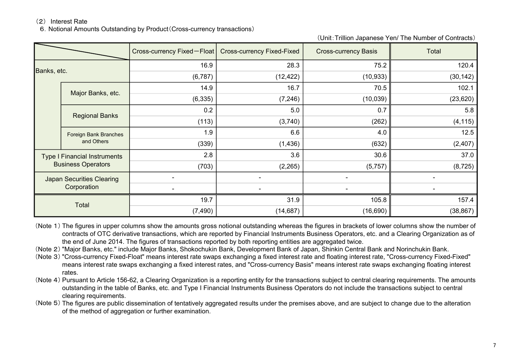6.Notional Amounts Outstanding by Product(Cross-currency transactions)

(Unit:Trillion Japanese Yen/ The Number of Contracts)

|             |                                     | Cross-currency Fixed-Float | <b>Cross-currency Fixed-Fixed</b> | <b>Cross-currency Basis</b> | Total                    |
|-------------|-------------------------------------|----------------------------|-----------------------------------|-----------------------------|--------------------------|
| Banks, etc. |                                     | 16.9                       | 28.3                              | 75.2                        | 120.4                    |
|             |                                     | (6,787)                    | (12, 422)                         | (10, 933)                   | (30, 142)                |
|             |                                     | 14.9                       | 16.7                              | 70.5                        | 102.1                    |
|             | Major Banks, etc.                   | (6, 335)                   | (7, 246)                          | (10,039)                    | (23, 620)                |
|             | <b>Regional Banks</b>               | 0.2                        | 5.0                               | 0.7                         | 5.8                      |
|             |                                     | (113)                      | (3,740)                           | (262)                       | (4, 115)                 |
|             | Foreign Bank Branches<br>and Others | 1.9                        | 6.6                               | 4.0                         | 12.5                     |
|             |                                     | (339)                      | (1, 436)                          | (632)                       | (2, 407)                 |
|             | <b>Type I Financial Instruments</b> | 2.8                        | 3.6                               | 30.6                        | 37.0                     |
|             | <b>Business Operators</b>           | (703)                      | (2,265)                           | (5,757)                     | (8, 725)                 |
|             | <b>Japan Securities Clearing</b>    |                            |                                   |                             | $\overline{\phantom{a}}$ |
|             | Corporation                         |                            |                                   |                             |                          |
|             |                                     | 19.7                       | 31.9                              | 105.8                       | 157.4                    |
| Total       |                                     | (7, 490)                   | (14, 687)                         | (16, 690)                   | (38, 867)                |

(Note 1) The figures in upper columns show the amounts gross notional outstanding whereas the figures in brackets of lower columns show the number of contracts of OTC derivative transactions, which are reported by Financial Instruments Business Operators, etc. and a Clearing Organization as of the end of June 2014. The figures of transactions reported by both reporting entities are aggregated twice.

(Note 2) "Major Banks, etc." include Major Banks, Shokochukin Bank, Development Bank of Japan, Shinkin Central Bank and Norinchukin Bank.

(Note 3) "Cross-currency Fixed-Float" means interest rate swaps exchanging a fixed interest rate and floating interest rate, "Cross-currency Fixed-Fixed" means interest rate swaps exchanging a fixed interest rates, and "Cross-currency Basis" means interest rate swaps exchanging floating interest rates.

(Note 4) Pursuant to Article 156-62, a Clearing Organization is a reporting entity for the transactions subject to central clearing requirements. The amounts outstanding in the table of Banks, etc. and Type I Financial Instruments Business Operators do not include the transactions subject to central clearing requirements.

(Note 5) The figures are public dissemination of tentatively aggregated results under the premises above, and are subject to change due to the alteration of the method of aggregation or further examination.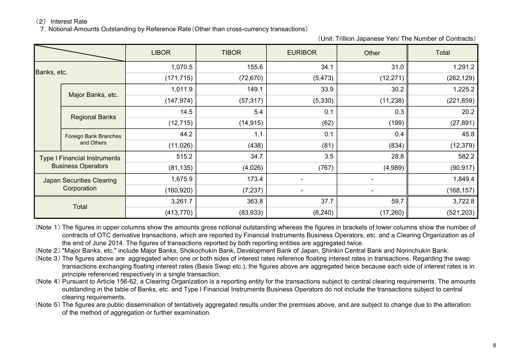7.Notional Amounts Outstanding by Reference Rate(Other than cross-currency transactions)

(Unit:Trillion Japanese Yen/ The Number of Contracts)

|             |                                     | <b>LIBOR</b> | <b>TIBOR</b> | <b>EURIBOR</b> | Other     | Total      |
|-------------|-------------------------------------|--------------|--------------|----------------|-----------|------------|
| Banks, etc. |                                     | 1,070.5      | 155.6        | 34.1           | 31.0      | 1,291.2    |
|             |                                     | (171, 715)   | (72, 670)    | (5, 473)       | (12, 271) | (262, 129) |
|             |                                     | 1,011.9      | 149.1        | 33.9           | 30.2      | 1,225.2    |
|             | Major Banks, etc.                   | (147, 974)   | (57, 317)    | (5,330)        | (11, 238) | (221, 859) |
|             | <b>Regional Banks</b>               | 14.5         | 5.4          | 0.1            | 0.3       | 20.2       |
|             |                                     | (12, 715)    | (14, 915)    | (62)           | (199)     | (27, 891)  |
|             | Foreign Bank Branches<br>and Others | 44.2         | 1.1          | 0.1            | 0.4       | 45.8       |
|             |                                     | (11,026)     | (438)        | (81)           | (834)     | (12, 379)  |
|             | <b>Type I Financial Instruments</b> | 515.2        | 34.7         | 3.5            | 28.8      | 582.2      |
|             | <b>Business Operators</b>           | (81, 135)    | (4,026)      | (767)          | (4,989)   | (90, 917)  |
|             | <b>Japan Securities Clearing</b>    | 1,675.9      | 173.4        |                |           | 1,849.4    |
|             | Corporation                         | (160, 920)   | (7, 237)     |                |           | (168, 157) |
|             |                                     | 3,261.7      | 363.8        | 37.7           | 59.7      | 3,722.8    |
| Total       |                                     | (413, 770)   | (83,933)     | (6, 240)       | (17, 260) | (521, 203) |

- (Note 1) The figures in upper columns show the amounts gross notional outstanding whereas the figures in brackets of lower columns show the number of contracts of OTC derivative transactions, which are reported by Financial Instruments Business Operators, etc. and a Clearing Organization as of the end of June 2014. The figures of transactions reported by both reporting entities are aggregated twice.
- (Note 2) "Major Banks, etc." include Major Banks, Shokochukin Bank, Development Bank of Japan, Shinkin Central Bank and Norinchukin Bank.
- (Note 3) The figures above are aggregated when one or both sides of interest rates reference floating interest rates in transactions. Regarding the swap transactions exchanging floating interest rates (Basis Swap etc.), the figures above are aggregated twice because each side of interest rates is in principle referenced respectively in a single transaction.
- (Note 4) Pursuant to Article 156-62, a Clearing Organization is a reporting entity for the transactions subject to central clearing requirements. The amounts outstanding in the table of Banks, etc. and Type I Financial Instruments Business Operators do not include the transactions subject to central clearing requirements.
- (Note 5) The figures are public dissemination of tentatively aggregated results under the premises above, and are subject to change due to the alteration of the method of aggregation or further examination.